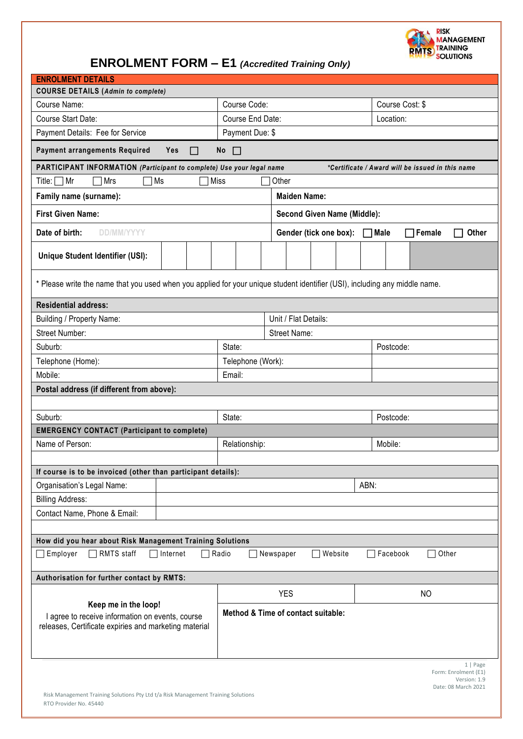

| <b>ENROLMENT DETAILS</b>                                                                                                          |                                    |                                    |                             |                 |                                                                         |  |  |  |
|-----------------------------------------------------------------------------------------------------------------------------------|------------------------------------|------------------------------------|-----------------------------|-----------------|-------------------------------------------------------------------------|--|--|--|
| <b>COURSE DETAILS (Admin to complete)</b>                                                                                         |                                    |                                    |                             |                 |                                                                         |  |  |  |
| Course Name:                                                                                                                      | Course Code:                       |                                    |                             | Course Cost: \$ |                                                                         |  |  |  |
| Course Start Date:                                                                                                                | Course End Date:                   |                                    |                             | Location:       |                                                                         |  |  |  |
| Payment Details: Fee for Service                                                                                                  | Payment Due: \$                    |                                    |                             |                 |                                                                         |  |  |  |
| <b>Payment arrangements Required</b><br>Yes<br>No<br>$\Box$<br>□                                                                  |                                    |                                    |                             |                 |                                                                         |  |  |  |
| PARTICIPANT INFORMATION (Participant to complete) Use your legal name<br>*Certificate / Award will be issued in this name         |                                    |                                    |                             |                 |                                                                         |  |  |  |
| Mrs<br>Ms<br>Miss<br>Other<br>Title:<br>  Mr                                                                                      |                                    |                                    |                             |                 |                                                                         |  |  |  |
| Family name (surname):                                                                                                            | <b>Maiden Name:</b>                |                                    |                             |                 |                                                                         |  |  |  |
| <b>First Given Name:</b>                                                                                                          | <b>Second Given Name (Middle):</b> |                                    |                             |                 |                                                                         |  |  |  |
| Date of birth:<br><b>DD/MM/YYYY</b>                                                                                               |                                    |                                    | Gender (tick one box): Male |                 | Female<br>Other<br>$\Box$                                               |  |  |  |
| Unique Student Identifier (USI):                                                                                                  |                                    |                                    |                             |                 |                                                                         |  |  |  |
| * Please write the name that you used when you applied for your unique student identifier (USI), including any middle name.       |                                    |                                    |                             |                 |                                                                         |  |  |  |
| <b>Residential address:</b>                                                                                                       |                                    |                                    |                             |                 |                                                                         |  |  |  |
| Building / Property Name:                                                                                                         |                                    | Unit / Flat Details:               |                             |                 |                                                                         |  |  |  |
| <b>Street Number:</b>                                                                                                             |                                    | Street Name:                       |                             |                 |                                                                         |  |  |  |
| Suburb:                                                                                                                           | State:                             | Postcode:                          |                             |                 |                                                                         |  |  |  |
| Telephone (Home):                                                                                                                 |                                    | Telephone (Work):                  |                             |                 |                                                                         |  |  |  |
| Mobile:                                                                                                                           | Email:                             |                                    |                             |                 |                                                                         |  |  |  |
| Postal address (if different from above):                                                                                         |                                    |                                    |                             |                 |                                                                         |  |  |  |
|                                                                                                                                   |                                    |                                    |                             |                 |                                                                         |  |  |  |
| State:<br>Suburb:<br>Postcode:                                                                                                    |                                    |                                    |                             |                 |                                                                         |  |  |  |
| <b>EMERGENCY CONTACT (Participant to complete)</b>                                                                                |                                    |                                    |                             |                 |                                                                         |  |  |  |
| Name of Person:                                                                                                                   | Relationship:                      |                                    | Mobile:                     |                 |                                                                         |  |  |  |
|                                                                                                                                   |                                    |                                    |                             |                 |                                                                         |  |  |  |
| If course is to be invoiced (other than participant details):                                                                     |                                    |                                    |                             |                 |                                                                         |  |  |  |
| Organisation's Legal Name:                                                                                                        | ABN:                               |                                    |                             |                 |                                                                         |  |  |  |
| <b>Billing Address:</b>                                                                                                           |                                    |                                    |                             |                 |                                                                         |  |  |  |
| Contact Name, Phone & Email:                                                                                                      |                                    |                                    |                             |                 |                                                                         |  |  |  |
| How did you hear about Risk Management Training Solutions                                                                         |                                    |                                    |                             |                 |                                                                         |  |  |  |
| RMTS staff<br>Employer<br>Internet<br>$\Box$<br>$\Box$                                                                            | $\Box$ Radio                       | Newspaper                          | Website<br>$\sim$           |                 | Other<br>Facebook                                                       |  |  |  |
| Authorisation for further contact by RMTS:                                                                                        |                                    |                                    |                             |                 |                                                                         |  |  |  |
|                                                                                                                                   | <b>YES</b>                         |                                    |                             | NO              |                                                                         |  |  |  |
| Keep me in the loop!<br>I agree to receive information on events, course<br>releases, Certificate expiries and marketing material |                                    | Method & Time of contact suitable: |                             |                 |                                                                         |  |  |  |
|                                                                                                                                   |                                    |                                    |                             |                 | 1   Page<br>Form: Enrolment (E1)<br>Version: 1.9<br>Date: 08 March 2021 |  |  |  |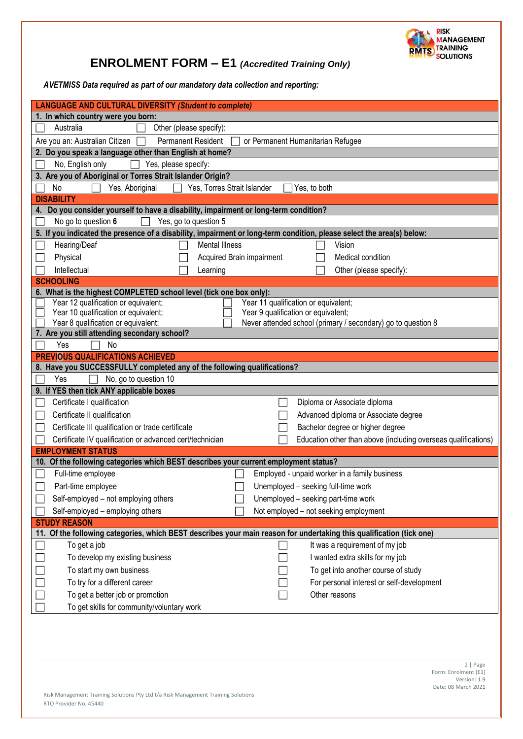

*AVETMISS Data required as part of our mandatory data collection and reporting:*

| <b>LANGUAGE AND CULTURAL DIVERSITY (Student to complete)</b>                                                                                                |  |  |  |  |  |  |  |
|-------------------------------------------------------------------------------------------------------------------------------------------------------------|--|--|--|--|--|--|--|
| 1. In which country were you born:                                                                                                                          |  |  |  |  |  |  |  |
| Australia<br>Other (please specify):                                                                                                                        |  |  |  |  |  |  |  |
| <b>Permanent Resident</b><br>or Permanent Humanitarian Refugee<br>Are you an: Australian Citizen                                                            |  |  |  |  |  |  |  |
| 2. Do you speak a language other than English at home?                                                                                                      |  |  |  |  |  |  |  |
| Yes, please specify:<br>No, English only                                                                                                                    |  |  |  |  |  |  |  |
| 3. Are you of Aboriginal or Torres Strait Islander Origin?                                                                                                  |  |  |  |  |  |  |  |
| Yes, Aboriginal<br>Yes, Torres Strait Islander<br>Yes, to both<br><b>No</b>                                                                                 |  |  |  |  |  |  |  |
| <b>DISABILITY</b>                                                                                                                                           |  |  |  |  |  |  |  |
| Do you consider yourself to have a disability, impairment or long-term condition?<br>4.                                                                     |  |  |  |  |  |  |  |
| No go to question 6<br>Yes, go to question 5                                                                                                                |  |  |  |  |  |  |  |
| 5. If you indicated the presence of a disability, impairment or long-term condition, please select the area(s) below:                                       |  |  |  |  |  |  |  |
| Hearing/Deaf<br><b>Mental Illness</b><br>Vision                                                                                                             |  |  |  |  |  |  |  |
| Physical<br>Acquired Brain impairment<br>Medical condition                                                                                                  |  |  |  |  |  |  |  |
| Intellectual<br>Other (please specify):<br>Learning                                                                                                         |  |  |  |  |  |  |  |
| <b>SCHOOLING</b>                                                                                                                                            |  |  |  |  |  |  |  |
| 6. What is the highest COMPLETED school level (tick one box only):                                                                                          |  |  |  |  |  |  |  |
| Year 12 qualification or equivalent;<br>Year 11 qualification or equivalent;<br>Year 10 qualification or equivalent;<br>Year 9 qualification or equivalent; |  |  |  |  |  |  |  |
| Year 8 qualification or equivalent;<br>Never attended school (primary / secondary) go to question 8                                                         |  |  |  |  |  |  |  |
| 7. Are you still attending secondary school?                                                                                                                |  |  |  |  |  |  |  |
| Yes<br>No                                                                                                                                                   |  |  |  |  |  |  |  |
| <b>PREVIOUS QUALIFICATIONS ACHIEVED</b>                                                                                                                     |  |  |  |  |  |  |  |
| 8. Have you SUCCESSFULLY completed any of the following qualifications?                                                                                     |  |  |  |  |  |  |  |
| No, go to question 10<br>Yes                                                                                                                                |  |  |  |  |  |  |  |
| 9. If YES then tick ANY applicable boxes                                                                                                                    |  |  |  |  |  |  |  |
| Certificate I qualification<br>Diploma or Associate diploma                                                                                                 |  |  |  |  |  |  |  |
| Certificate II qualification<br>Advanced diploma or Associate degree                                                                                        |  |  |  |  |  |  |  |
| Certificate III qualification or trade certificate<br>Bachelor degree or higher degree                                                                      |  |  |  |  |  |  |  |
| Certificate IV qualification or advanced cert/technician<br>Education other than above (including overseas qualifications)                                  |  |  |  |  |  |  |  |
| <b>EMPLOYMENT STATUS</b>                                                                                                                                    |  |  |  |  |  |  |  |
| 10. Of the following categories which BEST describes your current employment status?                                                                        |  |  |  |  |  |  |  |
| Full-time employee<br>Employed - unpaid worker in a family business                                                                                         |  |  |  |  |  |  |  |
| Part-time employee<br>Unemployed - seeking full-time work                                                                                                   |  |  |  |  |  |  |  |
| Self-employed - not employing others<br>Unemployed - seeking part-time work                                                                                 |  |  |  |  |  |  |  |
| Self-employed - employing others<br>Not employed - not seeking employment                                                                                   |  |  |  |  |  |  |  |
| <b>STUDY REASON</b>                                                                                                                                         |  |  |  |  |  |  |  |
| 11. Of the following categories, which BEST describes your main reason for undertaking this qualification (tick one)                                        |  |  |  |  |  |  |  |
| To get a job<br>It was a requirement of my job                                                                                                              |  |  |  |  |  |  |  |
| I wanted extra skills for my job<br>To develop my existing business                                                                                         |  |  |  |  |  |  |  |
| To start my own business<br>To get into another course of study                                                                                             |  |  |  |  |  |  |  |
| To try for a different career<br>For personal interest or self-development                                                                                  |  |  |  |  |  |  |  |
| To get a better job or promotion<br>Other reasons                                                                                                           |  |  |  |  |  |  |  |
| To get skills for community/voluntary work                                                                                                                  |  |  |  |  |  |  |  |
|                                                                                                                                                             |  |  |  |  |  |  |  |
|                                                                                                                                                             |  |  |  |  |  |  |  |
|                                                                                                                                                             |  |  |  |  |  |  |  |
| 2   Page                                                                                                                                                    |  |  |  |  |  |  |  |
|                                                                                                                                                             |  |  |  |  |  |  |  |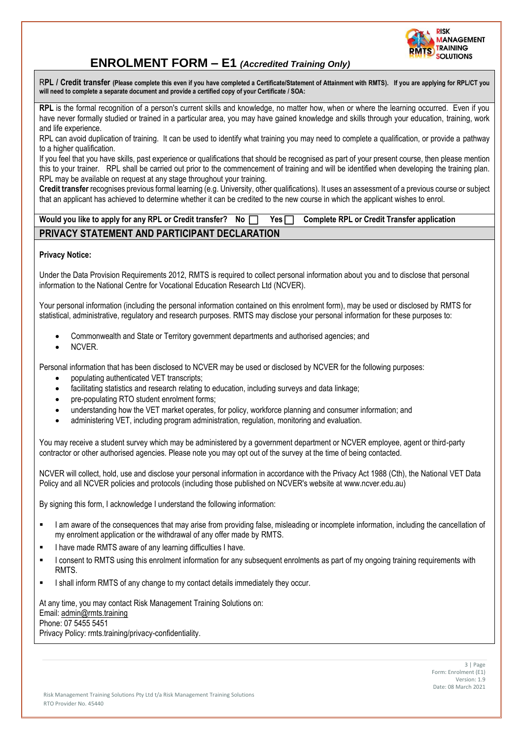

R**PL / Credit transfer (Please complete this even if you have completed a Certificate/Statement of Attainment with RMTS). If you are applying for RPL/CT you will need to complete a separate document and provide a certified copy of your Certificate / SOA:**

**RPL** is the formal recognition of a person's current skills and knowledge, no matter how, when or where the learning occurred. Even if you have never formally studied or trained in a particular area, you may have gained knowledge and skills through your education, training, work and life experience.

RPL can avoid duplication of training. It can be used to identify what training you may need to complete a qualification, or provide a pathway to a higher qualification.

If you feel that you have skills, past experience or qualifications that should be recognised as part of your present course, then please mention this to your trainer. RPL shall be carried out prior to the commencement of training and will be identified when developing the training plan. RPL may be available on request at any stage throughout your training.

**Credit transfer** recognises previous formal learning (e.g. University, other qualifications). It uses an assessment of a previous course or subject that an applicant has achieved to determine whether it can be credited to the new course in which the applicant wishes to enrol.

| Would you like to apply for any RPL or Credit transfer? No □ Yes □ Complete RPL or Credit Transfer application |  |  |
|----------------------------------------------------------------------------------------------------------------|--|--|
| PRIVACY STATEMENT AND PARTICIPANT DECLARATION                                                                  |  |  |

### **Privacy Notice:**

Under the Data Provision Requirements 2012, RMTS is required to collect personal information about you and to disclose that personal information to the National Centre for Vocational Education Research Ltd (NCVER).

Your personal information (including the personal information contained on this enrolment form), may be used or disclosed by RMTS for statistical, administrative, regulatory and research purposes. RMTS may disclose your personal information for these purposes to:

- Commonwealth and State or Territory government departments and authorised agencies; and
- NCVER.

Personal information that has been disclosed to NCVER may be used or disclosed by NCVER for the following purposes:

- populating authenticated VET transcripts;
- facilitating statistics and research relating to education, including surveys and data linkage;
- pre-populating RTO student enrolment forms;
- understanding how the VET market operates, for policy, workforce planning and consumer information; and
- administering VET, including program administration, regulation, monitoring and evaluation.

You may receive a student survey which may be administered by a government department or NCVER employee, agent or third-party contractor or other authorised agencies. Please note you may opt out of the survey at the time of being contacted.

NCVER will collect, hold, use and disclose your personal information in accordance with the Privacy Act 1988 (Cth), the National VET Data Policy and all NCVER policies and protocols (including those published on NCVER's website at [www.ncver.edu.au\)](http://www.ncver.edu.au/)

By signing this form, I acknowledge I understand the following information:

- I am aware of the consequences that may arise from providing false, misleading or incomplete information, including the cancellation of my enrolment application or the withdrawal of any offer made by RMTS.
- I have made RMTS aware of any learning difficulties I have.
- **■** I consent to RMTS using this enrolment information for any subsequent enrolments as part of my ongoing training requirements with RMTS.
- I shall inform RMTS of any change to my contact details immediately they occur.

At any time, you may contact Risk Management Training Solutions on: Email: admin@rmts.training Phone: 07 5455 5451 Privacy Policy: rmts.training/privacy-confidentiality.